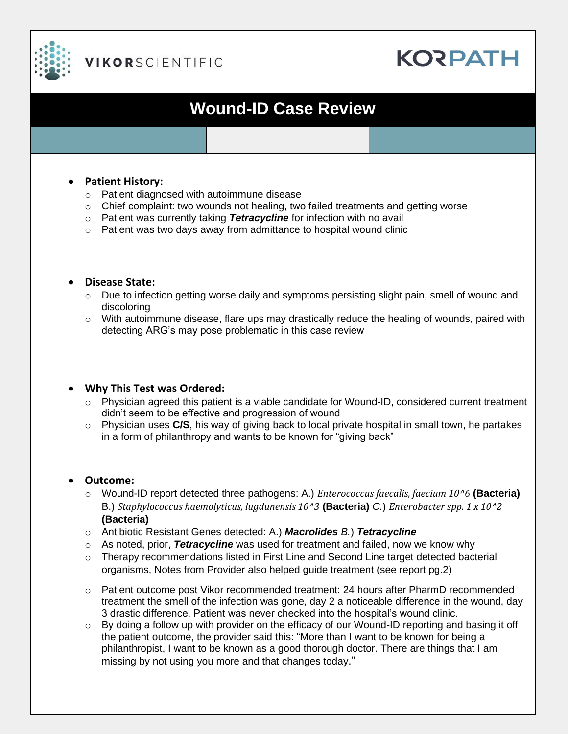

### **VIKORSCIENTIFIC**

# **KORPATH**

## **Wound-ID Case Review**

#### • **Patient History:**

- o Patient diagnosed with autoimmune disease
- $\circ$  Chief complaint: two wounds not healing, two failed treatments and getting worse
- o Patient was currently taking *Tetracycline* for infection with no avail
- o Patient was two days away from admittance to hospital wound clinic

#### • **Disease State:**

- o Due to infection getting worse daily and symptoms persisting slight pain, smell of wound and discoloring
- $\circ$  With autoimmune disease, flare ups may drastically reduce the healing of wounds, paired with detecting ARG's may pose problematic in this case review

#### • **Why This Test was Ordered:**

- o Physician agreed this patient is a viable candidate for Wound-ID, considered current treatment didn't seem to be effective and progression of wound
- o Physician uses **C/S**, his way of giving back to local private hospital in small town, he partakes in a form of philanthropy and wants to be known for "giving back"

#### • **Outcome:**

- o Wound-ID report detected three pathogens: A.) *Enterococcus faecalis, faecium 10^6* **(Bacteria)** B.) *Staphylococcus haemolyticus, lugdunensis 10^3* **(Bacteria)** *C.*) *Enterobacter spp. 1 x 10^2* **(Bacteria)**
- o Antibiotic Resistant Genes detected: A.) *Macrolides B.*) *Tetracycline*
- o As noted, prior, *Tetracycline* was used for treatment and failed, now we know why
- $\circ$  Therapy recommendations listed in First Line and Second Line target detected bacterial organisms, Notes from Provider also helped guide treatment (see report pg.2)
- o Patient outcome post Vikor recommended treatment: 24 hours after PharmD recommended treatment the smell of the infection was gone, day 2 a noticeable difference in the wound, day 3 drastic difference. Patient was never checked into the hospital's wound clinic.
- $\circ$  By doing a follow up with provider on the efficacy of our Wound-ID reporting and basing it off the patient outcome, the provider said this: "More than I want to be known for being a philanthropist, I want to be known as a good thorough doctor. There are things that I am missing by not using you more and that changes today."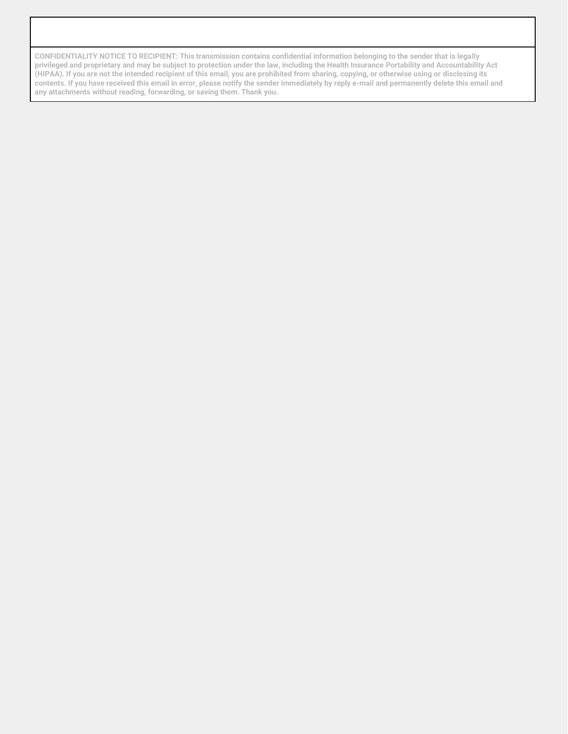**CONFIDENTIALITY NOTICE TO RECIPIENT: This transmission contains confidential information belonging to the sender that is legally privileged and proprietary and may be subject to protection under the law, including the Health Insurance Portability and Accountability Act (HIPAA). If you are not the intended recipient of this email, you are prohibited from sharing, copying, or otherwise using or disclosing its contents. If you have received this email in error, please notify the sender immediately by reply e-mail and permanently delete this email and any attachments without reading, forwarding, or saving them. Thank you.**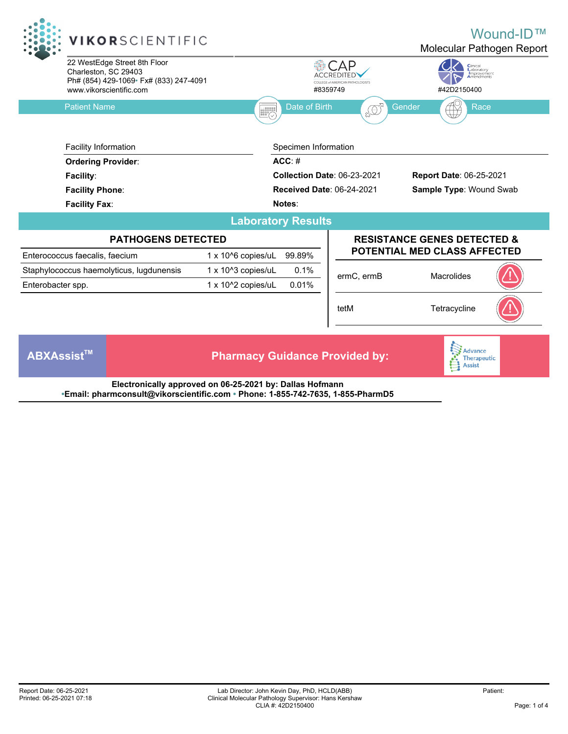

**•Email: pharmconsult@vikorscientific.com • Phone: 1-855-742-7635, 1-855-PharmD5**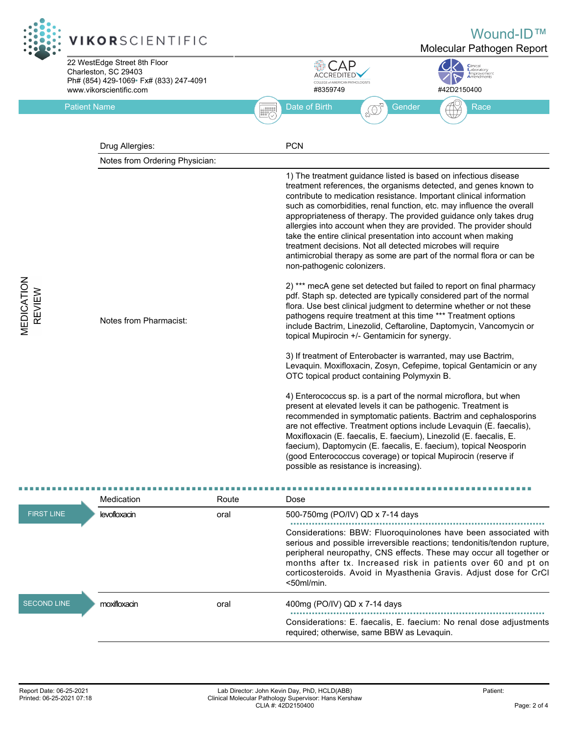

|                                         | Medication   | Route | Dose                                                                                                                                                                                                                                                                                                                                                                     |
|-----------------------------------------|--------------|-------|--------------------------------------------------------------------------------------------------------------------------------------------------------------------------------------------------------------------------------------------------------------------------------------------------------------------------------------------------------------------------|
| <b>FIRST LINE</b><br><b>SECOND LINE</b> | levofloxacin | oral  | 500-750mg (PO/IV) QD x 7-14 days                                                                                                                                                                                                                                                                                                                                         |
|                                         |              |       | Considerations: BBW: Fluoroquinolones have been associated with<br>serious and possible irreversible reactions; tendonitis/tendon rupture,<br>peripheral neuropathy, CNS effects. These may occur all together or<br>months after tx. Increased risk in patients over 60 and pt on<br>corticosteroids. Avoid in Myasthenia Gravis. Adjust dose for CrCl<br>$<$ 50ml/min. |
|                                         | moxifloxacin | oral  | 400mg (PO/IV) QD x 7-14 days                                                                                                                                                                                                                                                                                                                                             |
|                                         |              |       | Considerations: E. faecalis, E. faecium: No renal dose adjustments<br>required; otherwise, same BBW as Levaguin.                                                                                                                                                                                                                                                         |

**VEDICATION**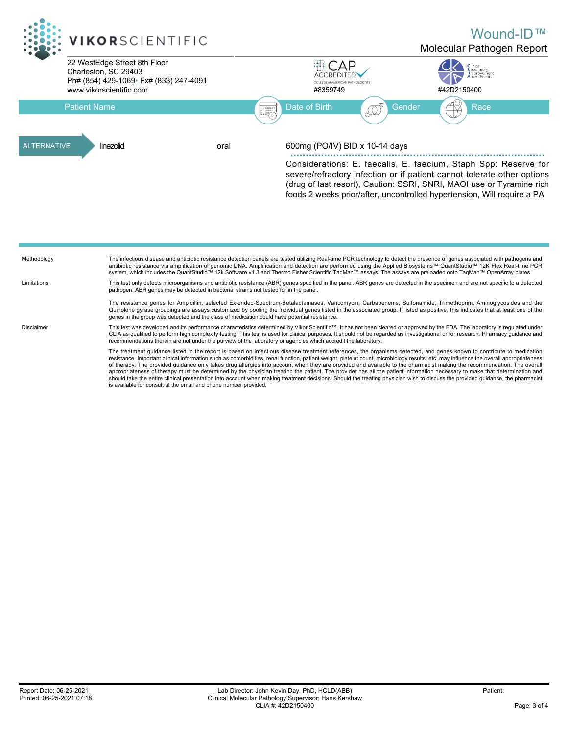

is available for consult at the email and phone number provided.

The treatment guidance listed in the report is based on infectious disease treatment references, the organisms detected, and genes known to contribute to medication resistance. Important clinical information such as comorbidities, renal function, patient weight, platelet count, microbiology results, etc. may influence the overall appropriateness<br>of therapy. The provided guidance only appropriateness of therapy must be determined by the physician treating the patient. The provider has all the patient information necessary to make that determination and should take the entire clinical presentation into account when making treatment decisions. Should the treating physician wish to discuss the provided guidance, the pharmacist